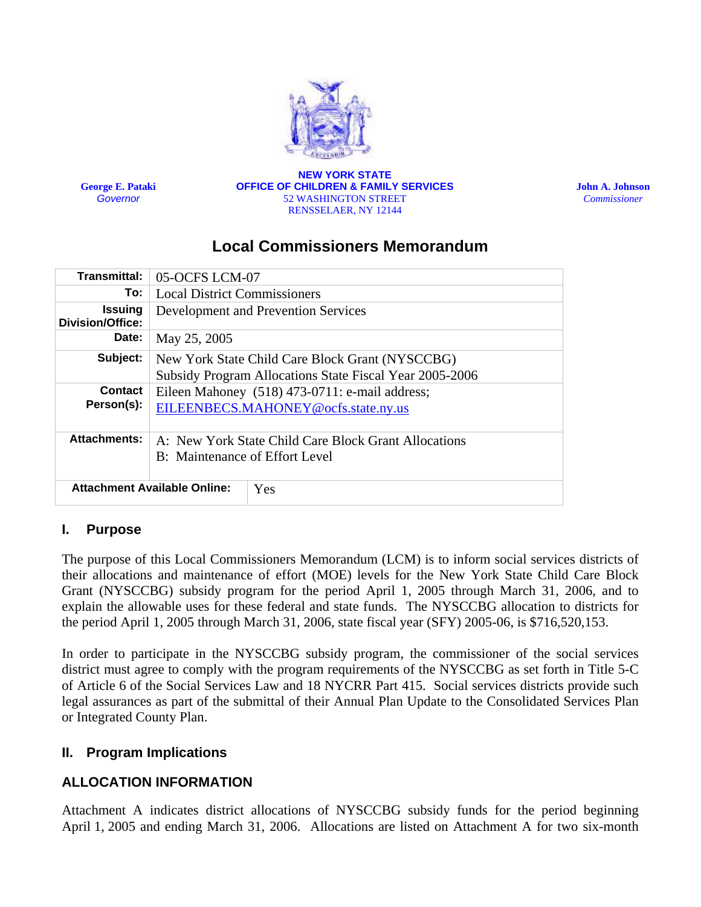

**George E. Pataki**  *Governor*

**NEW YORK STATE OFFICE OF CHILDREN & FAMILY SERVICES** 52 WASHINGTON STREET RENSSELAER, NY 12144

**John A. Johnson**  *Commissioner* 

# **Local Commissioners Memorandum**

| <b>Transmittal:</b>                       | 05-OCFS LCM-07                                                                                             |  |  |
|-------------------------------------------|------------------------------------------------------------------------------------------------------------|--|--|
| To:                                       | <b>Local District Commissioners</b>                                                                        |  |  |
| <b>Issuing</b><br><b>Division/Office:</b> | Development and Prevention Services                                                                        |  |  |
| Date:                                     | May 25, 2005                                                                                               |  |  |
| Subject:                                  | New York State Child Care Block Grant (NYSCCBG)<br>Subsidy Program Allocations State Fiscal Year 2005-2006 |  |  |
| <b>Contact</b><br>Person(s):              | Eileen Mahoney (518) 473-0711: e-mail address;<br>EILEENBECS.MAHONEY@ocfs.state.ny.us                      |  |  |
| <b>Attachments:</b>                       | A: New York State Child Care Block Grant Allocations<br><b>B:</b> Maintenance of Effort Level              |  |  |
|                                           | <b>Attachment Available Online:</b><br>Yes                                                                 |  |  |

## **I. Purpose**

The purpose of this Local Commissioners Memorandum (LCM) is to inform social services districts of their allocations and maintenance of effort (MOE) levels for the New York State Child Care Block Grant (NYSCCBG) subsidy program for the period April 1, 2005 through March 31, 2006, and to explain the allowable uses for these federal and state funds. The NYSCCBG allocation to districts for the period April 1, 2005 through March 31, 2006, state fiscal year (SFY) 2005-06, is \$716,520,153.

In order to participate in the NYSCCBG subsidy program, the commissioner of the social services district must agree to comply with the program requirements of the NYSCCBG as set forth in Title 5-C of Article 6 of the Social Services Law and 18 NYCRR Part 415. Social services districts provide such legal assurances as part of the submittal of their Annual Plan Update to the Consolidated Services Plan or Integrated County Plan.

#### **II. Program Implications**

## **ALLOCATION INFORMATION**

Attachment A indicates district allocations of NYSCCBG subsidy funds for the period beginning April 1, 2005 and ending March 31, 2006. Allocations are listed on Attachment A for two six-month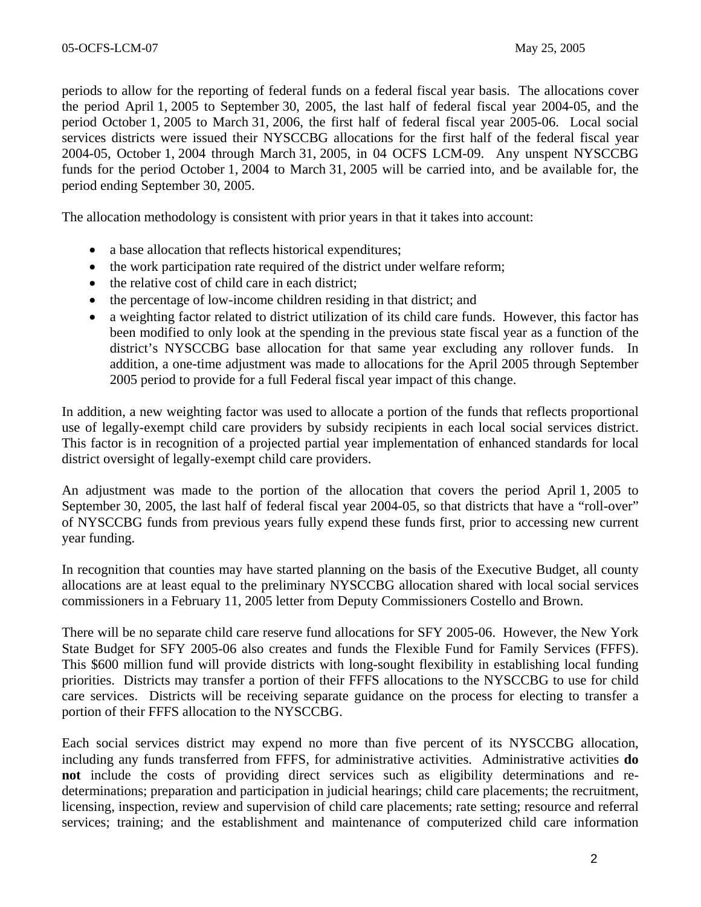periods to allow for the reporting of federal funds on a federal fiscal year basis. The allocations cover the period April 1, 2005 to September 30, 2005, the last half of federal fiscal year 2004-05, and the period October 1, 2005 to March 31, 2006, the first half of federal fiscal year 2005-06. Local social services districts were issued their NYSCCBG allocations for the first half of the federal fiscal year 2004-05, October 1, 2004 through March 31, 2005, in 04 OCFS LCM-09. Any unspent NYSCCBG funds for the period October 1, 2004 to March 31, 2005 will be carried into, and be available for, the period ending September 30, 2005.

The allocation methodology is consistent with prior years in that it takes into account:

- a base allocation that reflects historical expenditures;
- the work participation rate required of the district under welfare reform;
- the relative cost of child care in each district;
- the percentage of low-income children residing in that district; and
- a weighting factor related to district utilization of its child care funds. However, this factor has been modified to only look at the spending in the previous state fiscal year as a function of the district's NYSCCBG base allocation for that same year excluding any rollover funds. In addition, a one-time adjustment was made to allocations for the April 2005 through September 2005 period to provide for a full Federal fiscal year impact of this change.

In addition, a new weighting factor was used to allocate a portion of the funds that reflects proportional use of legally-exempt child care providers by subsidy recipients in each local social services district. This factor is in recognition of a projected partial year implementation of enhanced standards for local district oversight of legally-exempt child care providers.

An adjustment was made to the portion of the allocation that covers the period April 1, 2005 to September 30, 2005, the last half of federal fiscal year 2004-05, so that districts that have a "roll-over" of NYSCCBG funds from previous years fully expend these funds first, prior to accessing new current year funding.

In recognition that counties may have started planning on the basis of the Executive Budget, all county allocations are at least equal to the preliminary NYSCCBG allocation shared with local social services commissioners in a February 11, 2005 letter from Deputy Commissioners Costello and Brown.

There will be no separate child care reserve fund allocations for SFY 2005-06. However, the New York State Budget for SFY 2005-06 also creates and funds the Flexible Fund for Family Services (FFFS). This \$600 million fund will provide districts with long-sought flexibility in establishing local funding priorities. Districts may transfer a portion of their FFFS allocations to the NYSCCBG to use for child care services. Districts will be receiving separate guidance on the process for electing to transfer a portion of their FFFS allocation to the NYSCCBG.

Each social services district may expend no more than five percent of its NYSCCBG allocation, including any funds transferred from FFFS, for administrative activities. Administrative activities **do not** include the costs of providing direct services such as eligibility determinations and redeterminations; preparation and participation in judicial hearings; child care placements; the recruitment, licensing, inspection, review and supervision of child care placements; rate setting; resource and referral services; training; and the establishment and maintenance of computerized child care information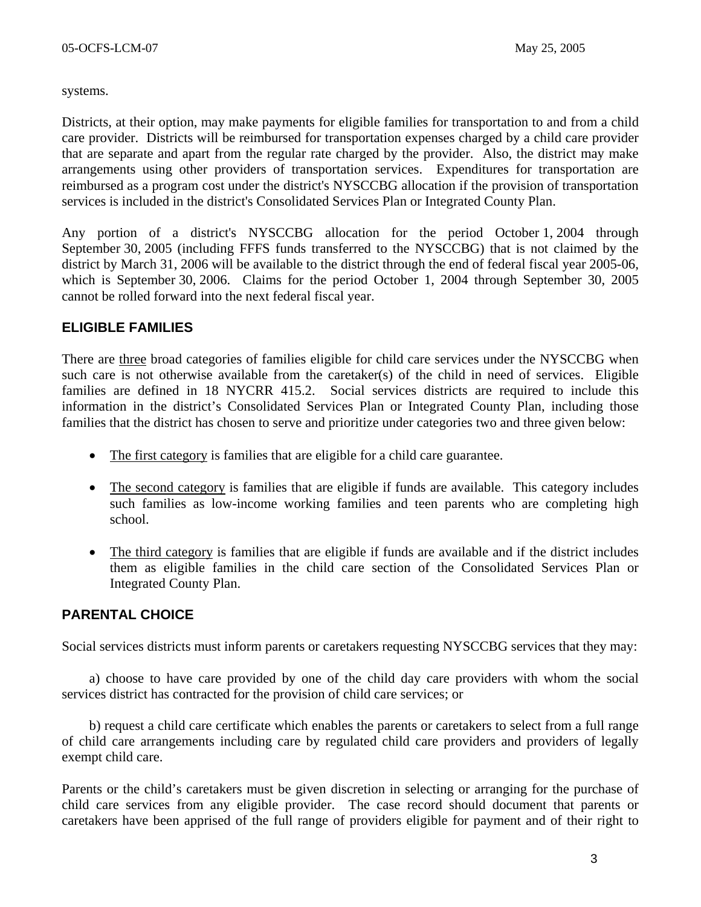systems.

Districts, at their option, may make payments for eligible families for transportation to and from a child care provider. Districts will be reimbursed for transportation expenses charged by a child care provider that are separate and apart from the regular rate charged by the provider. Also, the district may make arrangements using other providers of transportation services. Expenditures for transportation are reimbursed as a program cost under the district's NYSCCBG allocation if the provision of transportation services is included in the district's Consolidated Services Plan or Integrated County Plan.

Any portion of a district's NYSCCBG allocation for the period October 1, 2004 through September 30, 2005 (including FFFS funds transferred to the NYSCCBG) that is not claimed by the district by March 31, 2006 will be available to the district through the end of federal fiscal year 2005-06, which is September 30, 2006. Claims for the period October 1, 2004 through September 30, 2005 cannot be rolled forward into the next federal fiscal year.

#### **ELIGIBLE FAMILIES**

There are three broad categories of families eligible for child care services under the NYSCCBG when such care is not otherwise available from the caretaker(s) of the child in need of services. Eligible families are defined in 18 NYCRR 415.2. Social services districts are required to include this information in the district's Consolidated Services Plan or Integrated County Plan, including those families that the district has chosen to serve and prioritize under categories two and three given below:

- The first category is families that are eligible for a child care guarantee.
- The second category is families that are eligible if funds are available. This category includes such families as low-income working families and teen parents who are completing high school.
- The third category is families that are eligible if funds are available and if the district includes them as eligible families in the child care section of the Consolidated Services Plan or Integrated County Plan.

#### **PARENTAL CHOICE**

Social services districts must inform parents or caretakers requesting NYSCCBG services that they may:

a) choose to have care provided by one of the child day care providers with whom the social services district has contracted for the provision of child care services; or

b) request a child care certificate which enables the parents or caretakers to select from a full range of child care arrangements including care by regulated child care providers and providers of legally exempt child care.

Parents or the child's caretakers must be given discretion in selecting or arranging for the purchase of child care services from any eligible provider. The case record should document that parents or caretakers have been apprised of the full range of providers eligible for payment and of their right to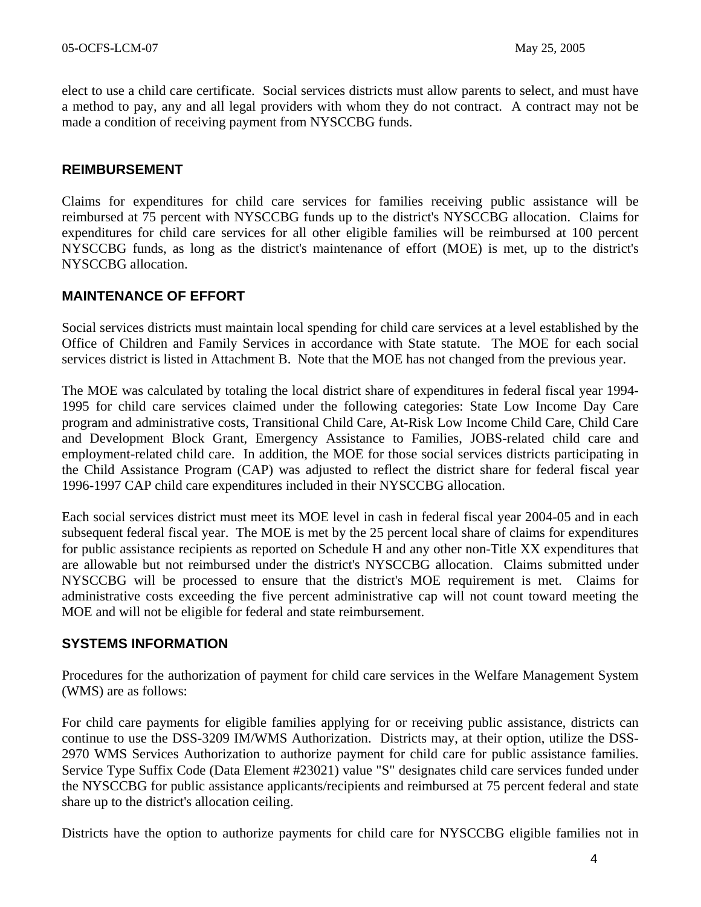elect to use a child care certificate. Social services districts must allow parents to select, and must have a method to pay, any and all legal providers with whom they do not contract. A contract may not be made a condition of receiving payment from NYSCCBG funds.

#### **REIMBURSEMENT**

Claims for expenditures for child care services for families receiving public assistance will be reimbursed at 75 percent with NYSCCBG funds up to the district's NYSCCBG allocation. Claims for expenditures for child care services for all other eligible families will be reimbursed at 100 percent NYSCCBG funds, as long as the district's maintenance of effort (MOE) is met, up to the district's NYSCCBG allocation.

#### **MAINTENANCE OF EFFORT**

Social services districts must maintain local spending for child care services at a level established by the Office of Children and Family Services in accordance with State statute. The MOE for each social services district is listed in Attachment B. Note that the MOE has not changed from the previous year.

The MOE was calculated by totaling the local district share of expenditures in federal fiscal year 1994- 1995 for child care services claimed under the following categories: State Low Income Day Care program and administrative costs, Transitional Child Care, At-Risk Low Income Child Care, Child Care and Development Block Grant, Emergency Assistance to Families, JOBS-related child care and employment-related child care. In addition, the MOE for those social services districts participating in the Child Assistance Program (CAP) was adjusted to reflect the district share for federal fiscal year 1996-1997 CAP child care expenditures included in their NYSCCBG allocation.

Each social services district must meet its MOE level in cash in federal fiscal year 2004-05 and in each subsequent federal fiscal year. The MOE is met by the 25 percent local share of claims for expenditures for public assistance recipients as reported on Schedule H and any other non-Title XX expenditures that are allowable but not reimbursed under the district's NYSCCBG allocation. Claims submitted under NYSCCBG will be processed to ensure that the district's MOE requirement is met. Claims for administrative costs exceeding the five percent administrative cap will not count toward meeting the MOE and will not be eligible for federal and state reimbursement.

#### **SYSTEMS INFORMATION**

Procedures for the authorization of payment for child care services in the Welfare Management System (WMS) are as follows:

For child care payments for eligible families applying for or receiving public assistance, districts can continue to use the DSS-3209 IM/WMS Authorization. Districts may, at their option, utilize the DSS-2970 WMS Services Authorization to authorize payment for child care for public assistance families. Service Type Suffix Code (Data Element #23021) value "S" designates child care services funded under the NYSCCBG for public assistance applicants/recipients and reimbursed at 75 percent federal and state share up to the district's allocation ceiling.

Districts have the option to authorize payments for child care for NYSCCBG eligible families not in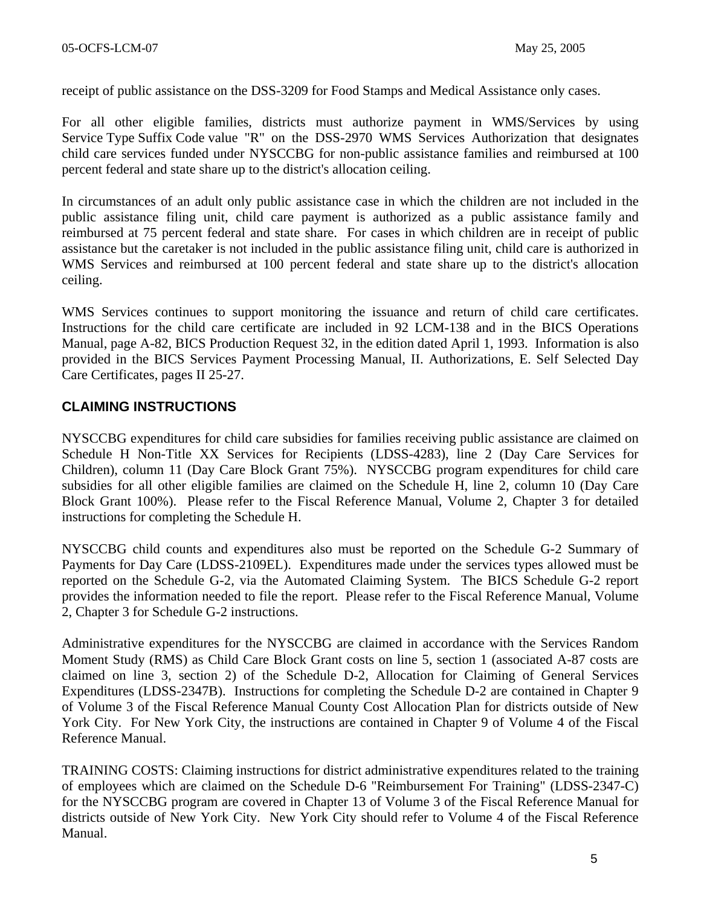receipt of public assistance on the DSS-3209 for Food Stamps and Medical Assistance only cases.

For all other eligible families, districts must authorize payment in WMS/Services by using Service Type Suffix Code value "R" on the DSS-2970 WMS Services Authorization that designates child care services funded under NYSCCBG for non-public assistance families and reimbursed at 100 percent federal and state share up to the district's allocation ceiling.

In circumstances of an adult only public assistance case in which the children are not included in the public assistance filing unit, child care payment is authorized as a public assistance family and reimbursed at 75 percent federal and state share. For cases in which children are in receipt of public assistance but the caretaker is not included in the public assistance filing unit, child care is authorized in WMS Services and reimbursed at 100 percent federal and state share up to the district's allocation ceiling.

WMS Services continues to support monitoring the issuance and return of child care certificates. Instructions for the child care certificate are included in 92 LCM-138 and in the BICS Operations Manual, page A-82, BICS Production Request 32, in the edition dated April 1, 1993. Information is also provided in the BICS Services Payment Processing Manual, II. Authorizations, E. Self Selected Day Care Certificates, pages II 25-27.

## **CLAIMING INSTRUCTIONS**

NYSCCBG expenditures for child care subsidies for families receiving public assistance are claimed on Schedule H Non-Title XX Services for Recipients (LDSS-4283), line 2 (Day Care Services for Children), column 11 (Day Care Block Grant 75%). NYSCCBG program expenditures for child care subsidies for all other eligible families are claimed on the Schedule H, line 2, column 10 (Day Care Block Grant 100%). Please refer to the Fiscal Reference Manual, Volume 2, Chapter 3 for detailed instructions for completing the Schedule H.

NYSCCBG child counts and expenditures also must be reported on the Schedule G-2 Summary of Payments for Day Care (LDSS-2109EL). Expenditures made under the services types allowed must be reported on the Schedule G-2, via the Automated Claiming System. The BICS Schedule G-2 report provides the information needed to file the report. Please refer to the Fiscal Reference Manual, Volume 2, Chapter 3 for Schedule G-2 instructions.

Administrative expenditures for the NYSCCBG are claimed in accordance with the Services Random Moment Study (RMS) as Child Care Block Grant costs on line 5, section 1 (associated A-87 costs are claimed on line 3, section 2) of the Schedule D-2, Allocation for Claiming of General Services Expenditures (LDSS-2347B). Instructions for completing the Schedule D-2 are contained in Chapter 9 of Volume 3 of the Fiscal Reference Manual County Cost Allocation Plan for districts outside of New York City. For New York City, the instructions are contained in Chapter 9 of Volume 4 of the Fiscal Reference Manual.

TRAINING COSTS: Claiming instructions for district administrative expenditures related to the training of employees which are claimed on the Schedule D-6 "Reimbursement For Training" (LDSS-2347-C) for the NYSCCBG program are covered in Chapter 13 of Volume 3 of the Fiscal Reference Manual for districts outside of New York City. New York City should refer to Volume 4 of the Fiscal Reference Manual.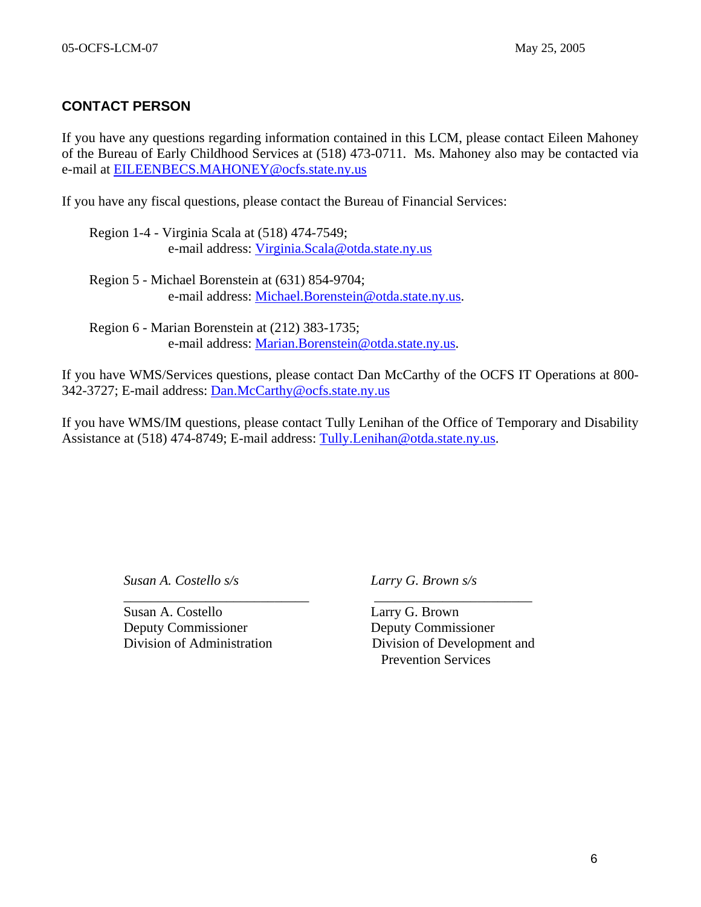## **CONTACT PERSON**

If you have any questions regarding information contained in this LCM, please contact Eileen Mahoney of the Bureau of Early Childhood Services at (518) 473-0711. Ms. Mahoney also may be contacted via e-mail at [EILEENBECS.MAHONEY@ocfs.state.ny.us](mailto:EILEENBECS.Mahoney@dfa.state.ny.us)

If you have any fiscal questions, please contact the Bureau of Financial Services:

Region 5 - Michael Borenstein at (631) 854-9704; e-mail address: [Michael.Borenstein@otda.state.ny.us.](mailto:Michael.Borenstein@dfa.state.ny.us)

Region 6 - Marian Borenstein at (212) 383-1735; e-mail address: [Marian.Borenstein@otda.state.ny.us.](mailto:Marian.Borenstein@otda.state.ny.us)

 $\overline{\phantom{a}}$  ,  $\overline{\phantom{a}}$  ,  $\overline{\phantom{a}}$  ,  $\overline{\phantom{a}}$  ,  $\overline{\phantom{a}}$  ,  $\overline{\phantom{a}}$  ,  $\overline{\phantom{a}}$  ,  $\overline{\phantom{a}}$  ,  $\overline{\phantom{a}}$  ,  $\overline{\phantom{a}}$  ,  $\overline{\phantom{a}}$  ,  $\overline{\phantom{a}}$  ,  $\overline{\phantom{a}}$  ,  $\overline{\phantom{a}}$  ,  $\overline{\phantom{a}}$  ,  $\overline{\phantom{a}}$ 

If you have WMS/Services questions, please contact Dan McCarthy of the OCFS IT Operations at 800- 342-3727; E-mail address: [Dan.McCarthy@ocfs.state.ny.us](https://webmail.state.ny.us/exchange/AW1160/Inbox/Draft LCMs.EML/ALLOCATION 2004-2005 DRAFT LCM_.doc/C58EA28C-18C0-4a97-9AF2-036E93DDAFB3/Dan.McCarthy@dfa.state.ny.us)

If you have WMS/IM questions, please contact Tully Lenihan of the Office of Temporary and Disability Assistance at (518) 474-8749; E-mail address: [Tully.Lenihan@otda.state.ny.us.](https://webmail.state.ny.us/exchange/AW1160/Inbox/Draft LCMs.EML/ALLOCATION 2004-2005 DRAFT LCM_.doc/C58EA28C-18C0-4a97-9AF2-036E93DDAFB3/Tully.Lenihan@dfa.state.ny.us)

*Susan A. Costello s/s Larry G. Brown s/s* 

Susan A. Costello Larry G. Brown Deputy Commissioner Deputy Commissioner

Division of Administration Division of Development and Prevention Services

Region 1-4 - Virginia Scala at (518) 474-7549; e-mail address: [Virginia.Scala@otda.state.ny.us](mailto:Virginia.Scala@dfa.state.ny.us)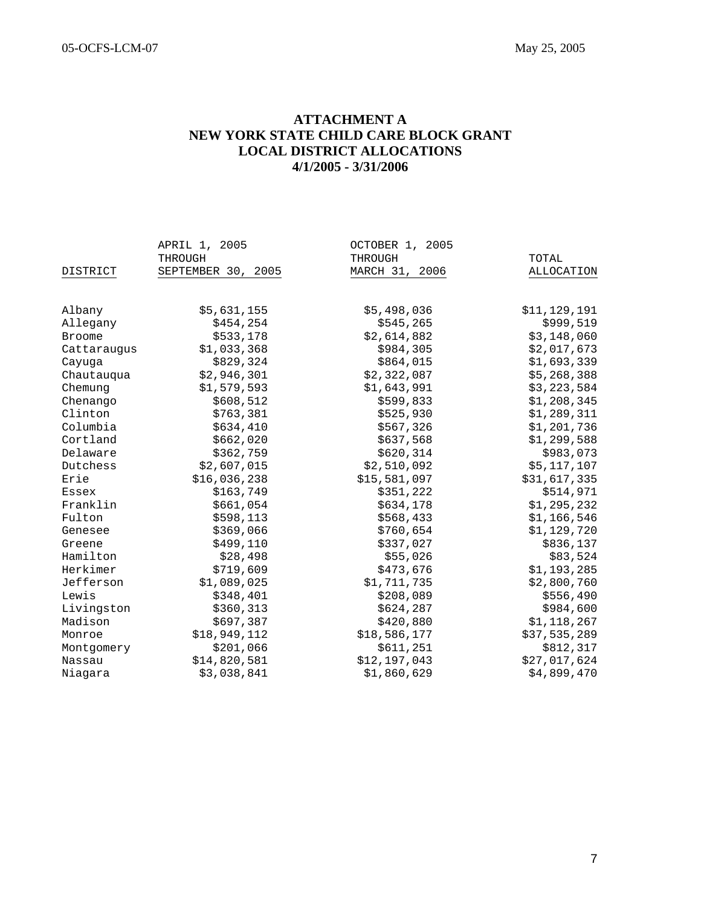#### **ATTACHMENT A NEW YORK STATE CHILD CARE BLOCK GRANT LOCAL DISTRICT ALLOCATIONS 4/1/2005 - 3/31/2006**

|               | APRIL 1, 2005      | OCTOBER 1, 2005 |              |
|---------------|--------------------|-----------------|--------------|
|               | THROUGH            | THROUGH         | TOTAL        |
| DISTRICT      | SEPTEMBER 30, 2005 | MARCH 31, 2006  | ALLOCATION   |
|               |                    |                 |              |
| Albany        | \$5,631,155        | \$5,498,036     | \$11,129,191 |
| Allegany      | \$454,254          | \$545,265       | \$999,519    |
| <b>Broome</b> | \$533,178          | \$2,614,882     | \$3,148,060  |
| Cattaraugus   | \$1,033,368        | \$984,305       | \$2,017,673  |
| Cayuga        | \$829,324          | \$864,015       | \$1,693,339  |
| Chautauqua    | \$2,946,301        | \$2,322,087     | \$5,268,388  |
| Chemung       | \$1,579,593        | \$1,643,991     | \$3,223,584  |
| Chenango      | \$608,512          | \$599,833       | \$1,208,345  |
| Clinton       | \$763,381          | \$525,930       | \$1,289,311  |
| Columbia      | \$634,410          | \$567,326       | \$1,201,736  |
| Cortland      | \$662,020          | \$637,568       | \$1,299,588  |
| Delaware      | \$362,759          | \$620,314       | \$983,073    |
| Dutchess      | \$2,607,015        | \$2,510,092     | \$5,117,107  |
| Erie          | \$16,036,238       | \$15,581,097    | \$31,617,335 |
| Essex         | \$163,749          | \$351,222       | \$514,971    |
| Franklin      | \$661,054          | \$634,178       | \$1,295,232  |
| Fulton        | \$598,113          | \$568,433       | \$1,166,546  |
| Genesee       | \$369,066          | \$760,654       | \$1,129,720  |
| Greene        | \$499,110          | \$337,027       | \$836,137    |
| Hamilton      | \$28,498           | \$55,026        | \$83,524     |
| Herkimer      | \$719,609          | \$473,676       | \$1,193,285  |
| Jefferson     | \$1,089,025        | \$1,711,735     | \$2,800,760  |
| Lewis         | \$348,401          | \$208,089       | \$556,490    |
| Livingston    | \$360,313          | \$624,287       | \$984,600    |
| Madison       | \$697,387          | \$420,880       | \$1,118,267  |
| Monroe        | \$18,949,112       | \$18,586,177    | \$37,535,289 |
| Montgomery    | \$201,066          | \$611,251       | \$812,317    |
| Nassau        | \$14,820,581       | \$12,197,043    | \$27,017,624 |
| Niagara       | \$3,038,841        | \$1,860,629     | \$4,899,470  |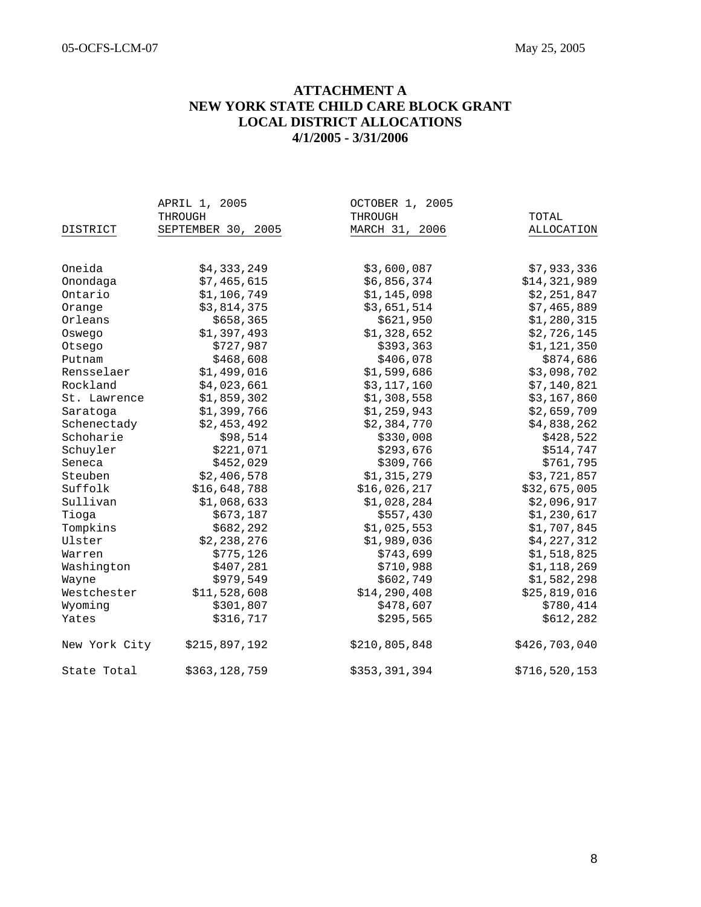#### **ATTACHMENT A NEW YORK STATE CHILD CARE BLOCK GRANT LOCAL DISTRICT ALLOCATIONS 4/1/2005 - 3/31/2006**

|               | APRIL 1, 2005      | OCTOBER 1, 2005 |               |
|---------------|--------------------|-----------------|---------------|
|               | THROUGH            | THROUGH         | TOTAL         |
| DISTRICT      | SEPTEMBER 30, 2005 | MARCH 31, 2006  | ALLOCATION    |
|               |                    |                 |               |
| Oneida        | \$4,333,249        | \$3,600,087     | \$7,933,336   |
| Onondaga      | \$7,465,615        | \$6,856,374     | \$14,321,989  |
| Ontario       | \$1,106,749        | \$1,145,098     | \$2,251,847   |
| Orange        | \$3,814,375        | \$3,651,514     | \$7,465,889   |
| Orleans       | \$658,365          | \$621,950       | \$1,280,315   |
| Oswego        | \$1,397,493        | \$1,328,652     | \$2,726,145   |
| Otsego        | \$727,987          | \$393,363       | \$1,121,350   |
| Putnam        | \$468,608          | \$406,078       | \$874,686     |
| Rensselaer    | \$1,499,016        | \$1,599,686     | \$3,098,702   |
| Rockland      | \$4,023,661        | \$3,117,160     | \$7,140,821   |
| St. Lawrence  | \$1,859,302        | \$1,308,558     | \$3,167,860   |
| Saratoga      | \$1,399,766        | \$1,259,943     | \$2,659,709   |
| Schenectady   | \$2,453,492        | \$2,384,770     | \$4,838,262   |
| Schoharie     | \$98,514           | \$330,008       | \$428,522     |
| Schuyler      | \$221,071          | \$293,676       | \$514,747     |
| Seneca        | \$452,029          | \$309,766       | \$761,795     |
| Steuben       | \$2,406,578        | \$1,315,279     | \$3,721,857   |
| Suffolk       | \$16,648,788       | \$16,026,217    | \$32,675,005  |
| Sullivan      | \$1,068,633        | \$1,028,284     | \$2,096,917   |
| Tioga         | \$673,187          | \$557,430       | \$1,230,617   |
| Tompkins      | \$682, 292         | \$1,025,553     | \$1,707,845   |
| Ulster        | \$2,238,276        | \$1,989,036     | \$4,227,312   |
| Warren        | \$775,126          | \$743,699       | \$1,518,825   |
| Washington    | \$407,281          | \$710,988       | \$1,118,269   |
| Wayne         | \$979,549          | \$602,749       | \$1,582,298   |
| Westchester   | \$11,528,608       | \$14,290,408    | \$25,819,016  |
| Wyoming       | \$301,807          | \$478,607       | \$780,414     |
| Yates         | \$316,717          | \$295,565       | \$612,282     |
| New York City | \$215,897,192      | \$210,805,848   | \$426,703,040 |
| State Total   | \$363,128,759      | \$353,391,394   | \$716,520,153 |